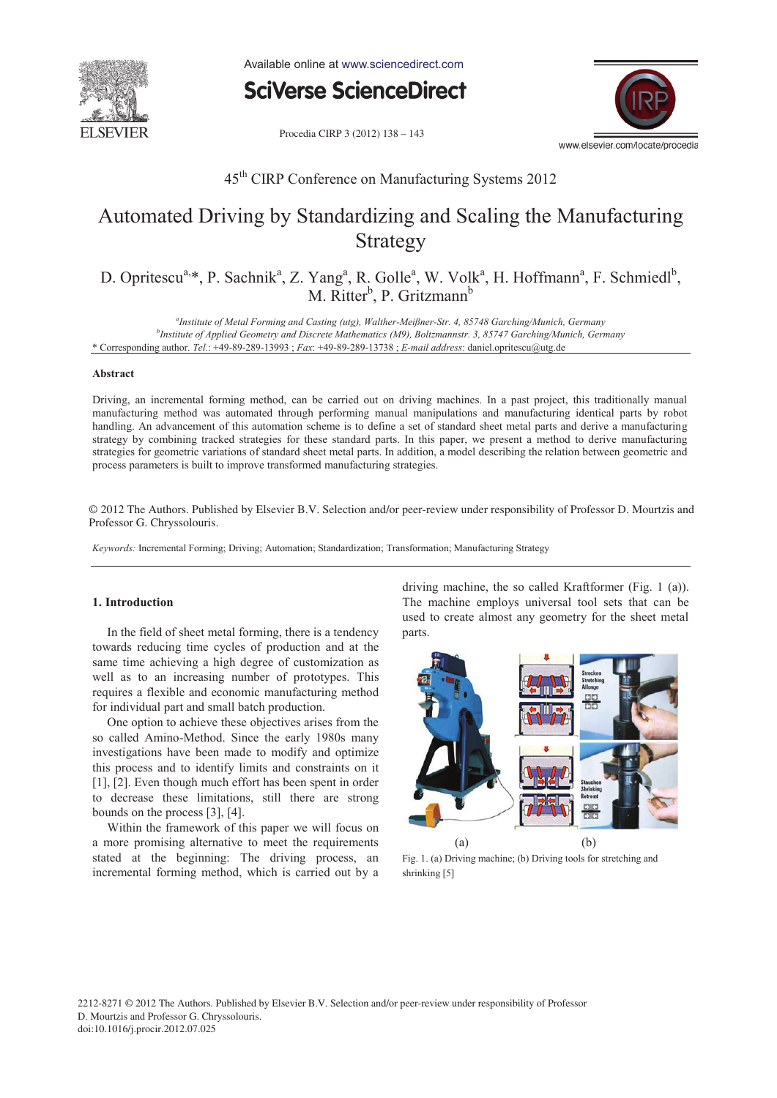

Available online at www.sciencedirect.com

**SciVerse ScienceDirect** 

Procedia CIRP 3 (2012) 138 - 143



### 45th CIRP Conference on Manufacturing Systems 2012

# Automated Driving by Standardizing and Scaling the Manufacturing Strategy

D. Opritescu<sup>a,\*</sup>, P. Sachnik<sup>a</sup>, Z. Yang<sup>a</sup>, R. Golle<sup>a</sup>, W. Volk<sup>a</sup>, H. Hoffmann<sup>a</sup>, F. Schmiedl<sup>b</sup>, M. Ritter<sup>b</sup>, P. Gritzmann<sup>b</sup>

*a Institute of Metal Forming and Casting (utg), Walther-Meißner-Str. 4, 85748 Garching/Munich, Germany b Institute of Applied Geometry and Discrete Mathematics (M9), Boltzmannstr. 3, 85747 Garching/Munich, Germany*  \* Corresponding author. *Tel.*: +49-89-289-13993 ; *Fax*: +49-89-289-13738 ; *E-mail address*: daniel.opritescu@utg.de

#### **Abstract**

Driving, an incremental forming method, can be carried out on driving machines. In a past project, this traditionally manual manufacturing method was automated through performing manual manipulations and manufacturing identical parts by robot handling. An advancement of this automation scheme is to define a set of standard sheet metal parts and derive a manufacturing strategy by combining tracked strategies for these standard parts. In this paper, we present a method to derive manufacturing strategies for geometric variations of standard sheet metal parts. In addition, a model describing the relation between geometric and process parameters is built to improve transformed manufacturing strategies.

© 2012 The Authors. Published by Elsevier B.V. Selection and/or peer-review under responsibility of Professor D. Mourtzis and Professor G. Chryssolouris. Professor G. Chryssolouris.

*Keywords:* Incremental Forming; Driving; Automation; Standardization; Transformation; Manufacturing Strategy

#### **1. Introduction**

In the field of sheet metal forming, there is a tendency towards reducing time cycles of production and at the same time achieving a high degree of customization as well as to an increasing number of prototypes. This requires a flexible and economic manufacturing method for individual part and small batch production.

One option to achieve these objectives arises from the so called Amino-Method. Since the early 1980s many investigations have been made to modify and optimize this process and to identify limits and constraints on it [1], [2]. Even though much effort has been spent in order to decrease these limitations, still there are strong bounds on the process [3], [4].

Within the framework of this paper we will focus on a more promising alternative to meet the requirements stated at the beginning: The driving process, an incremental forming method, which is carried out by a driving machine, the so called Kraftformer (Fig. 1 (a)). The machine employs universal tool sets that can be used to create almost any geometry for the sheet metal parts.



Fig. 1. (a) Driving machine; (b) Driving tools for stretching and shrinking [5]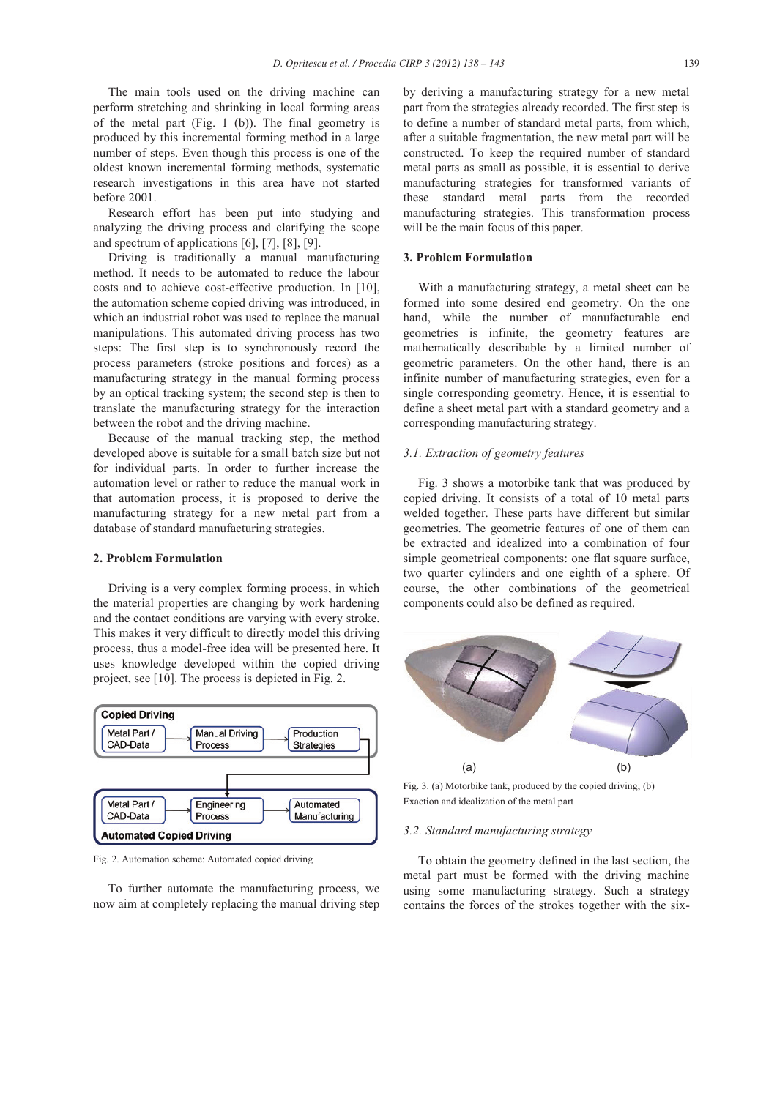The main tools used on the driving machine can perform stretching and shrinking in local forming areas of the metal part (Fig. 1 (b)). The final geometry is produced by this incremental forming method in a large number of steps. Even though this process is one of the oldest known incremental forming methods, systematic research investigations in this area have not started before 2001.

Research effort has been put into studying and analyzing the driving process and clarifying the scope and spectrum of applications [6], [7], [8], [9].

Driving is traditionally a manual manufacturing method. It needs to be automated to reduce the labour costs and to achieve cost-effective production. In [10], the automation scheme copied driving was introduced, in which an industrial robot was used to replace the manual manipulations. This automated driving process has two steps: The first step is to synchronously record the process parameters (stroke positions and forces) as a manufacturing strategy in the manual forming process by an optical tracking system; the second step is then to translate the manufacturing strategy for the interaction between the robot and the driving machine.

Because of the manual tracking step, the method developed above is suitable for a small batch size but not for individual parts. In order to further increase the automation level or rather to reduce the manual work in that automation process, it is proposed to derive the manufacturing strategy for a new metal part from a database of standard manufacturing strategies.

#### **2. Problem Formulation**

Driving is a very complex forming process, in which the material properties are changing by work hardening and the contact conditions are varying with every stroke. This makes it very difficult to directly model this driving process, thus a model-free idea will be presented here. It uses knowledge developed within the copied driving project, see [10]. The process is depicted in Fig. 2.



Fig. 2. Automation scheme: Automated copied driving

To further automate the manufacturing process, we now aim at completely replacing the manual driving step by deriving a manufacturing strategy for a new metal part from the strategies already recorded. The first step is to define a number of standard metal parts, from which, after a suitable fragmentation, the new metal part will be constructed. To keep the required number of standard metal parts as small as possible, it is essential to derive manufacturing strategies for transformed variants of these standard metal parts from the recorded manufacturing strategies. This transformation process will be the main focus of this paper.

#### **3. Problem Formulation**

With a manufacturing strategy, a metal sheet can be formed into some desired end geometry. On the one hand, while the number of manufacturable end geometries is infinite, the geometry features are mathematically describable by a limited number of geometric parameters. On the other hand, there is an infinite number of manufacturing strategies, even for a single corresponding geometry. Hence, it is essential to define a sheet metal part with a standard geometry and a corresponding manufacturing strategy.

### *3.1. Extraction of geometry features*

Fig. 3 shows a motorbike tank that was produced by copied driving. It consists of a total of 10 metal parts welded together. These parts have different but similar geometries. The geometric features of one of them can be extracted and idealized into a combination of four simple geometrical components: one flat square surface, two quarter cylinders and one eighth of a sphere. Of course, the other combinations of the geometrical components could also be defined as required.



Fig. 3. (a) Motorbike tank, produced by the copied driving; (b) Exaction and idealization of the metal part

#### *3.2. Standard manufacturing strategy*

To obtain the geometry defined in the last section, the metal part must be formed with the driving machine using some manufacturing strategy. Such a strategy contains the forces of the strokes together with the six-